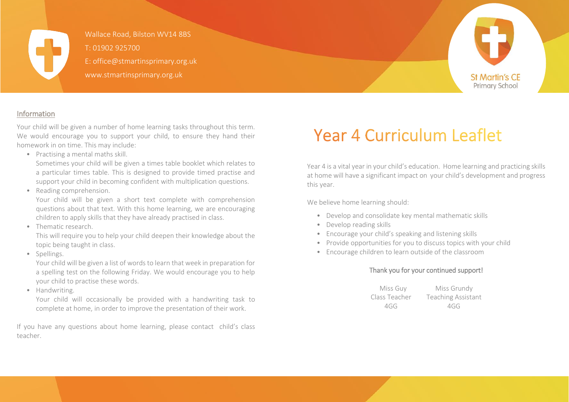

Wallace Road, Bilston WV14 8BS T: 01902 925700 E: office@stmartinsprimary.org.uk www.stmartinsprimary.org.uk



#### Information

Your child will be given a number of home learning tasks throughout this term. We would encourage you to support your child, to ensure they hand their homework in on time. This may include:

• Practising a mental maths skill.

Sometimes your child will be given a times table booklet which relates to a particular times table. This is designed to provide timed practise and support your child in becoming confident with multiplication questions.

• Reading comprehension.

Your child will be given a short text complete with comprehension questions about that text. With this home learning, we are encouraging children to apply skills that they have already practised in class.

• Thematic research.

This will require you to help your child deepen their knowledge about the topic being taught in class.

• Spellings.

Your child will be given a list of words to learn that week in preparation for a spelling test on the following Friday. We would encourage you to help your child to practise these words.

• Handwriting.

Your child will occasionally be provided with a handwriting task to complete at home, in order to improve the presentation of their work.

If you have any questions about home learning, please contact child's class teacher.

# **Year 4 Curriculum Leaflet**

Year 4 is a vital year in your child's education. Home learning and practicing skills at home will have a significant impact on your child's development and progress this year.

We believe home learning should:

- Develop and consolidate key mental mathematic skills
- Develop reading skills
- Encourage your child's speaking and listening skills
- Provide opportunities for you to discuss topics with your child
- Encourage children to learn outside of the classroom

#### Thank you for your continued support!

Miss Guy Miss Grundy Class Teacher Teaching Assistant 4GG 4GG